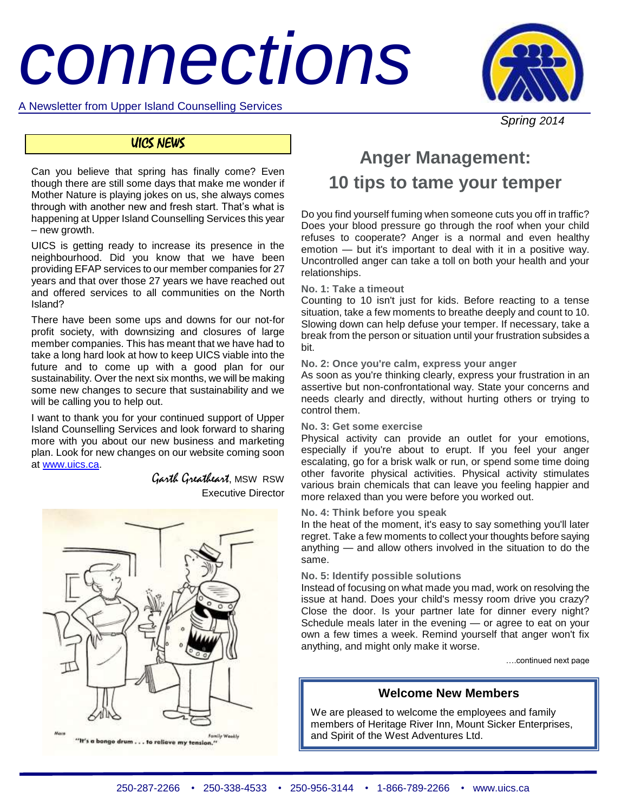# *connections*



A Newsletter from Upper Island Counselling Services

# *Spring 2014*

# UICS NEWS

Can you believe that spring has finally come? Even though there are still some days that make me wonder if Mother Nature is playing jokes on us, she always comes through with another new and fresh start. That's what is happening at Upper Island Counselling Services this year – new growth.

UICS is getting ready to increase its presence in the neighbourhood. Did you know that we have been providing EFAP services to our member companies for 27 years and that over those 27 years we have reached out and offered services to all communities on the North Island?

There have been some ups and downs for our not-for profit society, with downsizing and closures of large member companies. This has meant that we have had to take a long hard look at how to keep UICS viable into the future and to come up with a good plan for our sustainability. Over the next six months, we will be making some new changes to secure that sustainability and we will be calling you to help out.

I want to thank you for your continued support of Upper Island Counselling Services and look forward to sharing more with you about our new business and marketing plan. Look for new changes on our website coming soon at [www.uics.ca.](http://www.uics.ca/)

> Garth Greatheart, MSW RSW Executive Director



# **Anger Management: 10 tips to tame your temper**

Do you find yourself fuming when someone cuts you off in traffic? Does your blood pressure go through the roof when your child refuses to cooperate? Anger is a normal and even healthy emotion — but it's important to deal with it in a positive way. Uncontrolled anger can take a toll on both your health and your relationships.

# **No. 1: Take a timeout**

Counting to 10 isn't just for kids. Before reacting to a tense situation, take a few moments to breathe deeply and count to 10. Slowing down can help defuse your temper. If necessary, take a break from the person or situation until your frustration subsides a bit.

# **No. 2: Once you're calm, express your anger**

As soon as you're thinking clearly, express your frustration in an assertive but non-confrontational way. State your concerns and needs clearly and directly, without hurting others or trying to control them.

# **No. 3: Get some exercise**

Physical activity can provide an outlet for your emotions, especially if you're about to erupt. If you feel your anger escalating, go for a brisk walk or run, or spend some time doing other favorite physical activities. Physical activity stimulates various brain chemicals that can leave you feeling happier and more relaxed than you were before you worked out.

# **No. 4: Think before you speak**

In the heat of the moment, it's easy to say something you'll later regret. Take a few moments to collect your thoughts before saying anything — and allow others involved in the situation to do the same.

# **No. 5: Identify possible solutions**

Instead of focusing on what made you mad, work on resolving the issue at hand. Does your child's messy room drive you crazy? Close the door. Is your partner late for dinner every night? Schedule meals later in the evening — or agree to eat on your own a few times a week. Remind yourself that anger won't fix anything, and might only make it worse.

….continued next page

# **Welcome New Members**

We are pleased to welcome the employees and family members of Heritage River Inn, Mount Sicker Enterprises, and Spirit of the West Adventures Ltd.